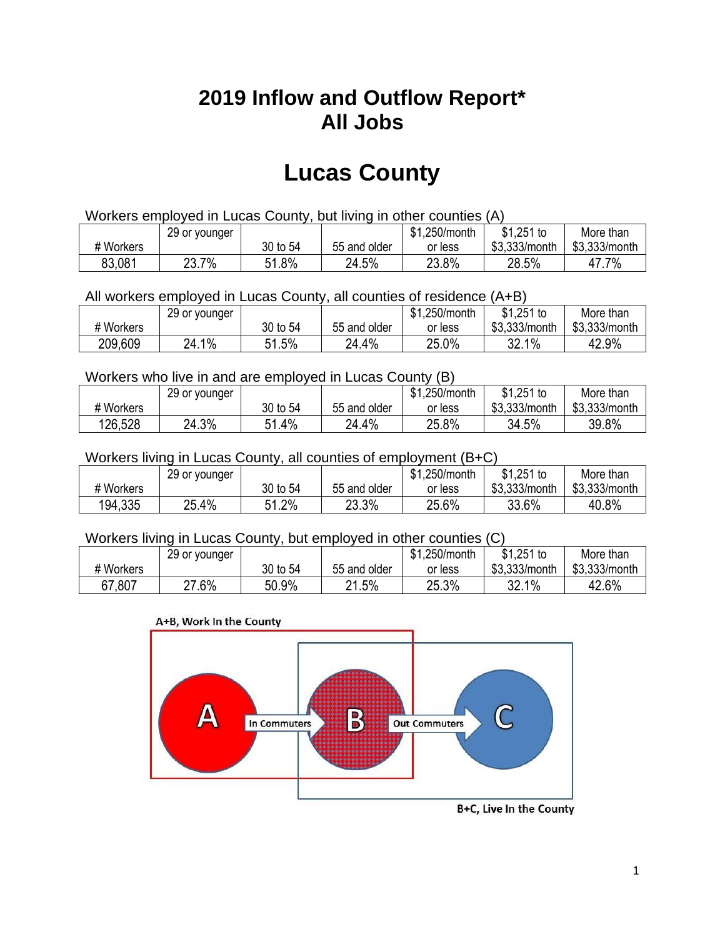## **2019 Inflow and Outflow Report\* All Jobs**

# **Lucas County**

| Workers employed in Lucas County, but living in other counties (A) |                                                            |          |              |         |               |               |  |  |  |
|--------------------------------------------------------------------|------------------------------------------------------------|----------|--------------|---------|---------------|---------------|--|--|--|
|                                                                    | $$1,251$ to<br>\$1.250/month<br>29 or younger<br>More than |          |              |         |               |               |  |  |  |
| # Workers                                                          |                                                            | 30 to 54 | 55 and older | or less | \$3,333/month | \$3,333/month |  |  |  |
| 83,081                                                             | 23.7%                                                      | 51.8%    | 24.5%        | 23.8%   | 28.5%         | 47.7%         |  |  |  |

All workers employed in Lucas County, all counties of residence (A+B)

|           | 29 or younger |          |              | \$1,250/month | $$1,251$ to   | More than     |
|-----------|---------------|----------|--------------|---------------|---------------|---------------|
| # Workers |               | 30 to 54 | 55 and older | or less       | \$3,333/month | \$3,333/month |
| 209,609   | 24.1%         | 51.5%    | 24.4%        | 25.0%         | 32.1%         | 42.9%         |

#### Workers who live in and are employed in Lucas County (B)

|           | 29 or younger |              |              | \$1,250/month | $$1,251$ to   | More than     |
|-----------|---------------|--------------|--------------|---------------|---------------|---------------|
| # Workers |               | 30 to 54     | 55 and older | or less       | \$3,333/month | \$3,333/month |
| 126,528   | 24.3%         | 1.4%د<br>C 1 | 24.4%        | 25.8%         | 34.5%         | 39.8%         |

#### Workers living in Lucas County, all counties of employment (B+C)

|           | 29 or younger |             |              | \$1,250/month | \$1,251 to    | More than     |
|-----------|---------------|-------------|--------------|---------------|---------------|---------------|
| # Workers |               | 30 to 54    | 55 and older | or less       | \$3,333/month | \$3,333/month |
| 194,335   | 25.4%         | 1.2%<br>C 4 | 23.3%        | 25.6%         | 33.6%         | 40.8%         |

#### Workers living in Lucas County, but employed in other counties (C)

|           | 29 or younger |          |              | \$1,250/month | $$1,251$ to   | More than     |
|-----------|---------------|----------|--------------|---------------|---------------|---------------|
| # Workers |               | 30 to 54 | 55 and older | or less       | \$3,333/month | \$3,333/month |
| 67,807    | $27.6\%$      | 50.9%    | 21.5%        | 25.3%         | 32.1%         | 42.6%         |

#### A+B, Work In the County